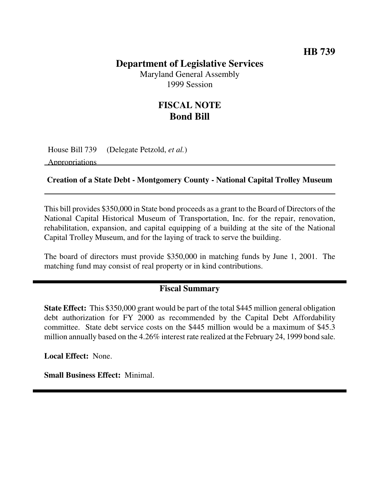## **Department of Legislative Services**

Maryland General Assembly 1999 Session

## **FISCAL NOTE Bond Bill**

House Bill 739 (Delegate Petzold, *et al.*)

Appropriations

#### **Creation of a State Debt - Montgomery County - National Capital Trolley Museum**

This bill provides \$350,000 in State bond proceeds as a grant to the Board of Directors of the National Capital Historical Museum of Transportation, Inc. for the repair, renovation, rehabilitation, expansion, and capital equipping of a building at the site of the National Capital Trolley Museum, and for the laying of track to serve the building.

The board of directors must provide \$350,000 in matching funds by June 1, 2001. The matching fund may consist of real property or in kind contributions.

### **Fiscal Summary**

**State Effect:** This \$350,000 grant would be part of the total \$445 million general obligation debt authorization for FY 2000 as recommended by the Capital Debt Affordability committee. State debt service costs on the \$445 million would be a maximum of \$45.3 million annually based on the 4.26% interest rate realized at the February 24, 1999 bond sale.

**Local Effect:** None.

**Small Business Effect:** Minimal.